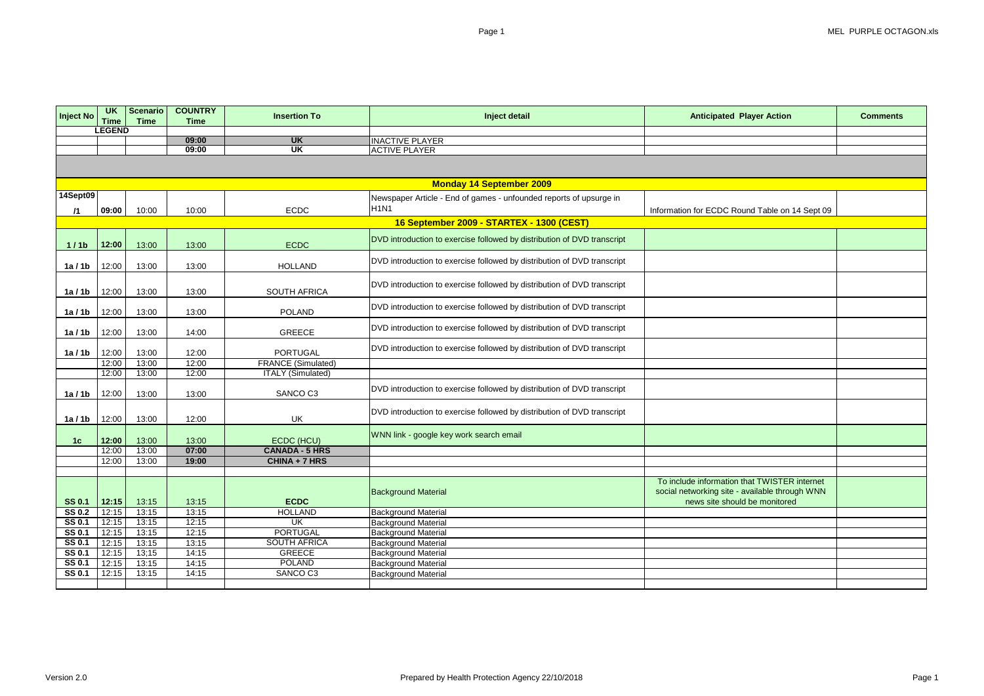| <b>Inject No</b>        | <b>UK</b>             | <b>Scenario</b> | <b>COUNTRY</b> | <b>Insertion To</b>          | Inject detail                                                           | <b>Anticipated Player Action</b>               | <b>Comments</b> |
|-------------------------|-----------------------|-----------------|----------------|------------------------------|-------------------------------------------------------------------------|------------------------------------------------|-----------------|
|                         | Time<br><b>LEGEND</b> | <b>Time</b>     | <b>Time</b>    |                              |                                                                         |                                                |                 |
|                         |                       |                 | 09:00          | <b>UK</b>                    | <b>INACTIVE PLAYER</b>                                                  |                                                |                 |
|                         |                       |                 | 09:00          | <b>UK</b>                    | <b>ACTIVE PLAYER</b>                                                    |                                                |                 |
|                         |                       |                 |                |                              |                                                                         |                                                |                 |
|                         |                       |                 |                |                              | <b>Monday 14 September 2009</b>                                         |                                                |                 |
| 14Sept09                |                       |                 |                |                              | Newspaper Article - End of games - unfounded reports of upsurge in      |                                                |                 |
| $\sqrt{1}$              | 09:00                 | 10:00           | 10:00          | <b>ECDC</b>                  | H <sub>1N1</sub>                                                        | Information for ECDC Round Table on 14 Sept 09 |                 |
|                         |                       |                 |                |                              | 16 September 2009 - STARTEX - 1300 (CEST)                               |                                                |                 |
|                         |                       |                 |                |                              | DVD introduction to exercise followed by distribution of DVD transcript |                                                |                 |
| 1/1 <sub>b</sub>        | 12:00                 | 13:00           | 13:00          | <b>ECDC</b>                  |                                                                         |                                                |                 |
|                         |                       |                 |                |                              | DVD introduction to exercise followed by distribution of DVD transcript |                                                |                 |
| 1a/1b                   | 12:00                 | 13:00           | 13:00          | <b>HOLLAND</b>               |                                                                         |                                                |                 |
|                         |                       |                 |                |                              | DVD introduction to exercise followed by distribution of DVD transcript |                                                |                 |
| 1a/1b                   | 12:00                 | 13:00           | 13:00          | <b>SOUTH AFRICA</b>          |                                                                         |                                                |                 |
|                         |                       |                 |                |                              | DVD introduction to exercise followed by distribution of DVD transcript |                                                |                 |
| 1a/1b                   | 12:00                 | 13:00           | 13:00          | <b>POLAND</b>                |                                                                         |                                                |                 |
|                         |                       |                 |                |                              | DVD introduction to exercise followed by distribution of DVD transcript |                                                |                 |
| 1a/1b                   | 12:00                 | 13:00           | 14:00          | <b>GREECE</b>                |                                                                         |                                                |                 |
| 1a/1b                   | 12:00                 | 13:00           | 12:00          | <b>PORTUGAL</b>              | DVD introduction to exercise followed by distribution of DVD transcript |                                                |                 |
|                         | 12:00                 | 13:00           | 12:00          | <b>FRANCE (Simulated)</b>    |                                                                         |                                                |                 |
|                         | 12:00                 | 13:00           | 12:00          | <b>ITALY (Simulated)</b>     |                                                                         |                                                |                 |
|                         |                       |                 |                |                              |                                                                         |                                                |                 |
| 1a/1b                   | 12:00                 | 13:00           | 13:00          | SANCO C3                     | DVD introduction to exercise followed by distribution of DVD transcript |                                                |                 |
|                         |                       |                 |                |                              |                                                                         |                                                |                 |
| 1a/1b                   | 12:00                 | 13:00           | 12:00          | UK                           | DVD introduction to exercise followed by distribution of DVD transcript |                                                |                 |
|                         |                       |                 |                |                              |                                                                         |                                                |                 |
| 1 <sub>c</sub>          | 12:00                 | 13:00           | 13:00          | ECDC (HCU)                   | WNN link - google key work search email                                 |                                                |                 |
|                         | 12:00                 | 13:00           | 07:00          | <b>CANADA - 5 HRS</b>        |                                                                         |                                                |                 |
|                         | 12:00                 | 13:00           | 19:00          | CHINA + 7 HRS                |                                                                         |                                                |                 |
|                         |                       |                 |                |                              |                                                                         |                                                |                 |
|                         |                       |                 |                |                              |                                                                         | To include information that TWISTER internet   |                 |
|                         |                       |                 |                |                              | <b>Background Material</b>                                              | social networking site - available through WNN |                 |
| <b>SS 0.1</b>           | 12:15                 | 13:15           | 13:15          | <b>ECDC</b>                  |                                                                         | news site should be monitored                  |                 |
| <b>SS 0.2</b>           | 12:15                 | 13:15           | 13:15          | <b>HOLLAND</b>               | <b>Background Material</b>                                              |                                                |                 |
| <b>SS 0.1</b>           | 12:15                 | 13:15           | 12:15          | <b>UK</b><br><b>PORTUGAL</b> | <b>Background Material</b>                                              |                                                |                 |
| SS 0.1<br><b>SS 0.1</b> | 12:15<br>12:15        | 13:15<br>13:15  | 12:15<br>13:15 | <b>SOUTH AFRICA</b>          | <b>Background Material</b><br><b>Background Material</b>                |                                                |                 |
| <b>SS 0.1</b>           | 12:15                 | 13;15           | 14:15          | <b>GREECE</b>                | <b>Background Material</b>                                              |                                                |                 |
| <b>SS 0.1</b>           | 12:15                 | 13:15           | 14:15          | <b>POLAND</b>                | <b>Background Material</b>                                              |                                                |                 |
| <b>SS 0.1</b>           | 12:15                 | 13:15           | 14:15          | SANCO C3                     | <b>Background Material</b>                                              |                                                |                 |
|                         |                       |                 |                |                              |                                                                         |                                                |                 |

| <b>layer Action</b>                                             | <b>Comments</b> |
|-----------------------------------------------------------------|-----------------|
|                                                                 |                 |
|                                                                 |                 |
|                                                                 |                 |
|                                                                 |                 |
| und Table on 14 Sept 09                                         |                 |
|                                                                 |                 |
|                                                                 |                 |
|                                                                 |                 |
|                                                                 |                 |
|                                                                 |                 |
|                                                                 |                 |
|                                                                 |                 |
|                                                                 |                 |
|                                                                 |                 |
|                                                                 |                 |
|                                                                 |                 |
|                                                                 |                 |
|                                                                 |                 |
| hat TWISTER internet<br>available through WNN<br>d be monitored |                 |
|                                                                 |                 |
|                                                                 |                 |
|                                                                 |                 |
|                                                                 |                 |
|                                                                 |                 |
|                                                                 |                 |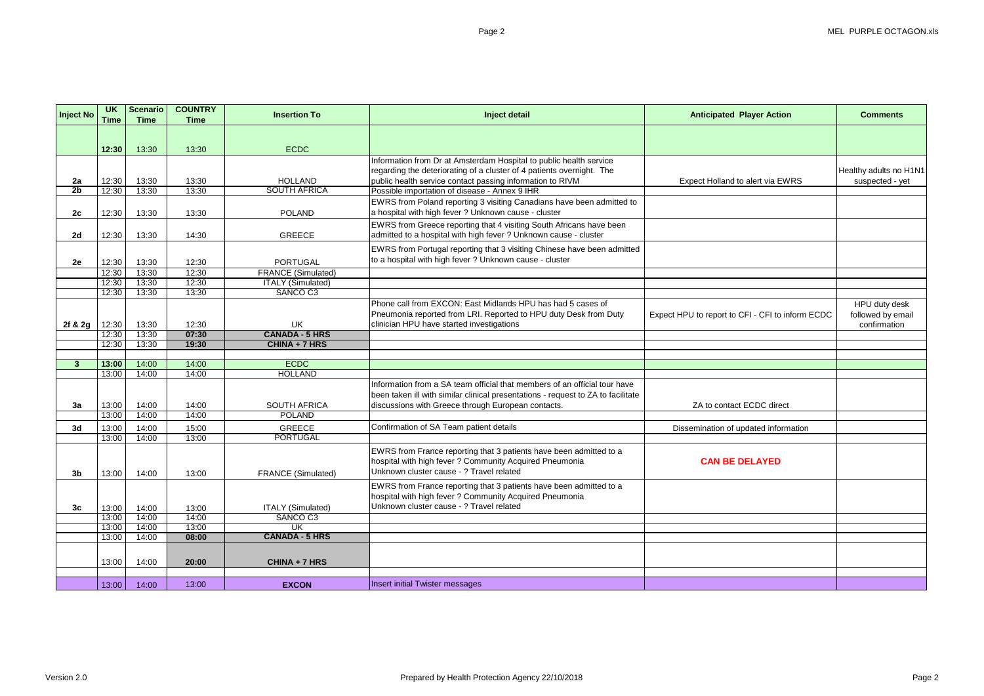| Inject No       | <b>UK</b><br><b>Time</b> | <b>Scenario</b><br><b>Time</b> | <b>COUNTRY</b><br><b>Time</b> | <b>Insertion To</b>                          | Inject detail                                                                                                                                                                                                       | <b>Anticipated Player Action</b>                 | <b>Comments</b>                           |
|-----------------|--------------------------|--------------------------------|-------------------------------|----------------------------------------------|---------------------------------------------------------------------------------------------------------------------------------------------------------------------------------------------------------------------|--------------------------------------------------|-------------------------------------------|
|                 |                          |                                |                               |                                              |                                                                                                                                                                                                                     |                                                  |                                           |
|                 | 12:30                    | 13:30                          | 13:30                         | <b>ECDC</b>                                  |                                                                                                                                                                                                                     |                                                  |                                           |
|                 |                          |                                |                               |                                              | Information from Dr at Amsterdam Hospital to public health service                                                                                                                                                  |                                                  |                                           |
| 2a              | 12:30                    | 13:30                          | 13:30                         | <b>HOLLAND</b>                               | regarding the deteriorating of a cluster of 4 patients overnight. The<br>public health service contact passing information to RIVM                                                                                  | Expect Holland to alert via EWRS                 | Healthy adults no H1N1<br>suspected - yet |
| 2 <sub>b</sub>  | 12:30                    | 13:30                          | 13:30                         | <b>SOUTH AFRICA</b>                          | Possible importation of disease - Annex 9 IHR                                                                                                                                                                       |                                                  |                                           |
| 2c              | 12:30                    | 13:30                          | 13:30                         | <b>POLAND</b>                                | EWRS from Poland reporting 3 visiting Canadians have been admitted to<br>a hospital with high fever ? Unknown cause - cluster                                                                                       |                                                  |                                           |
| 2d              | 12:30                    | 13:30                          | 14:30                         | <b>GREECE</b>                                | EWRS from Greece reporting that 4 visiting South Africans have been<br>admitted to a hospital with high fever ? Unknown cause - cluster                                                                             |                                                  |                                           |
|                 |                          |                                |                               |                                              | EWRS from Portugal reporting that 3 visiting Chinese have been admitted<br>to a hospital with high fever ? Unknown cause - cluster                                                                                  |                                                  |                                           |
| 2e              | 12:30<br>12:30           | 13:30<br>13:30                 | 12:30<br>12:30                | <b>PORTUGAL</b><br><b>FRANCE (Simulated)</b> |                                                                                                                                                                                                                     |                                                  |                                           |
|                 | 12:30                    | 13:30                          | 12:30                         | <b>ITALY (Simulated)</b>                     |                                                                                                                                                                                                                     |                                                  |                                           |
|                 | 12:30                    | 13:30                          | 13:30                         | SANCO C3                                     |                                                                                                                                                                                                                     |                                                  |                                           |
|                 |                          |                                |                               |                                              | Phone call from EXCON: East Midlands HPU has had 5 cases of<br>Pneumonia reported from LRI. Reported to HPU duty Desk from Duty                                                                                     | Expect HPU to report to CFI - CFI to inform ECDC | HPU duty desk<br>followed by email        |
| 2f & 2g $\vert$ | 12:30<br>12:30           | 13:30<br>13:30                 | 12:30<br>07:30                | UK<br><b>CANADA - 5 HRS</b>                  | clinician HPU have started investigations                                                                                                                                                                           |                                                  | confirmation                              |
|                 | 12:30                    | 13:30                          | 19:30                         | CHINA + 7 HRS                                |                                                                                                                                                                                                                     |                                                  |                                           |
|                 |                          |                                |                               |                                              |                                                                                                                                                                                                                     |                                                  |                                           |
| 3               | 13:00                    | 14:00                          | 14:00                         | <b>ECDC</b>                                  |                                                                                                                                                                                                                     |                                                  |                                           |
|                 | 13:00                    | 14:00                          | 14:00                         | <b>HOLLAND</b>                               |                                                                                                                                                                                                                     |                                                  |                                           |
| 3a              | 13:00                    | 14:00                          | 14:00                         | <b>SOUTH AFRICA</b>                          | Information from a SA team official that members of an official tour have<br>been taken ill with similar clinical presentations - request to ZA to facilitate<br>discussions with Greece through European contacts. | ZA to contact ECDC direct                        |                                           |
|                 | 13:00                    | 14:00                          | 14:00                         | <b>POLAND</b>                                |                                                                                                                                                                                                                     |                                                  |                                           |
| 3d              | 13:00                    | 14:00                          | 15:00                         | <b>GREECE</b>                                | Confirmation of SA Team patient details                                                                                                                                                                             | Dissemination of updated information             |                                           |
|                 | 13:00                    | 14:00                          | 13:00                         | <b>PORTUGAL</b>                              |                                                                                                                                                                                                                     |                                                  |                                           |
| 3 <sub>b</sub>  |                          | 13:00  14:00                   | 13:00                         | <b>FRANCE (Simulated)</b>                    | EWRS from France reporting that 3 patients have been admitted to a<br>hospital with high fever ? Community Acquired Pneumonia<br>Unknown cluster cause - ? Travel related                                           | <b>CAN BE DELAYED</b>                            |                                           |
|                 |                          |                                |                               |                                              | EWRS from France reporting that 3 patients have been admitted to a<br>hospital with high fever ? Community Acquired Pneumonia<br>Unknown cluster cause - ? Travel related                                           |                                                  |                                           |
| 3c              | 13:00                    | 14:00                          | 13:00                         | <b>ITALY (Simulated)</b><br>SANCO C3         |                                                                                                                                                                                                                     |                                                  |                                           |
|                 | 13:00<br>13:00           | 14:00<br>14:00                 | 14:00<br>13:00                | UK                                           |                                                                                                                                                                                                                     |                                                  |                                           |
|                 | 13:00                    | 14:00                          | 08:00                         | <b>CANADA - 5 HRS</b>                        |                                                                                                                                                                                                                     |                                                  |                                           |
|                 |                          |                                |                               |                                              |                                                                                                                                                                                                                     |                                                  |                                           |
|                 | 13:00                    | 14:00                          | 20:00                         | CHINA + 7 HRS                                |                                                                                                                                                                                                                     |                                                  |                                           |
|                 |                          |                                |                               |                                              |                                                                                                                                                                                                                     |                                                  |                                           |
|                 | 13:00                    | 14:00                          | 13:00                         | <b>EXCON</b>                                 | <b>Insert initial Twister messages</b>                                                                                                                                                                              |                                                  |                                           |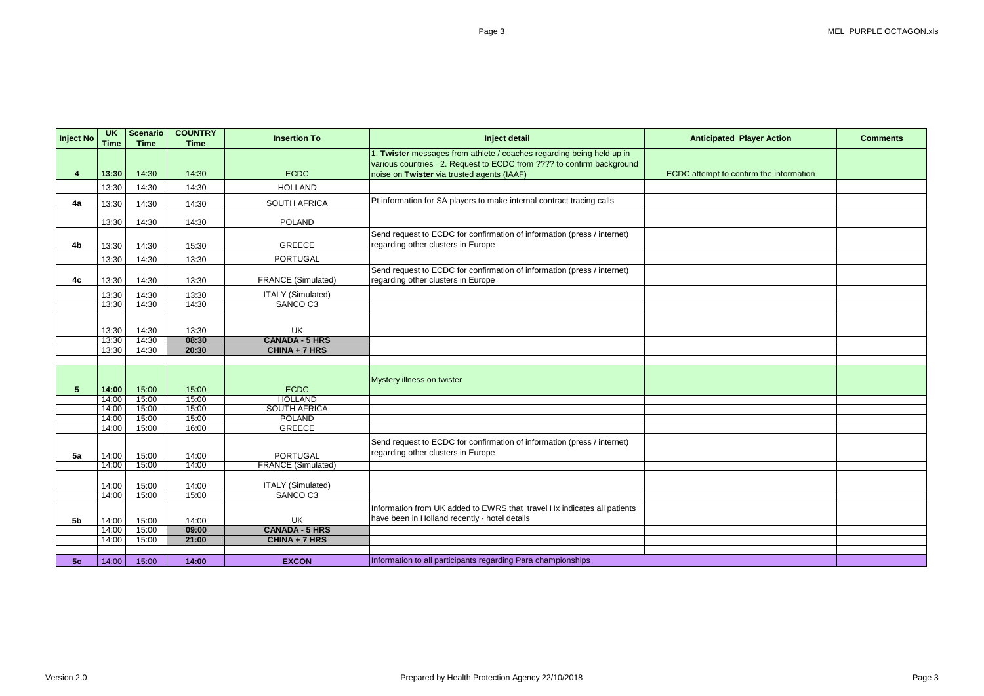| <b>Inject No</b> | <b>UK</b><br><b>Time</b> | <b>Scenario</b><br><b>Time</b> | <b>COUNTRY</b><br><b>Time</b> | <b>Insertion To</b>       | Inject detail                                                           | <b>Anticipated Player Action</b>        | <b>Comments</b> |
|------------------|--------------------------|--------------------------------|-------------------------------|---------------------------|-------------------------------------------------------------------------|-----------------------------------------|-----------------|
|                  |                          |                                |                               |                           | 1. Twister messages from athlete / coaches regarding being held up in   |                                         |                 |
|                  |                          |                                |                               |                           | various countries 2. Request to ECDC from ???? to confirm background    |                                         |                 |
|                  | 13:30                    | 14:30                          | 14:30                         | <b>ECDC</b>               | noise on Twister via trusted agents (IAAF)                              | ECDC attempt to confirm the information |                 |
|                  | 13:30                    | 14:30                          | 14:30                         | <b>HOLLAND</b>            |                                                                         |                                         |                 |
| 4a               | 13:30                    | 14:30                          | 14:30                         | <b>SOUTH AFRICA</b>       | Pt information for SA players to make internal contract tracing calls   |                                         |                 |
|                  | 13:30                    | 14:30                          | 14:30                         | <b>POLAND</b>             |                                                                         |                                         |                 |
|                  |                          |                                |                               |                           | Send request to ECDC for confirmation of information (press / internet) |                                         |                 |
| 4b               | 13:30                    | 14:30                          | 15:30                         | <b>GREECE</b>             | regarding other clusters in Europe                                      |                                         |                 |
|                  | 13:30                    | 14:30                          | 13:30                         | <b>PORTUGAL</b>           |                                                                         |                                         |                 |
|                  |                          |                                |                               |                           | Send request to ECDC for confirmation of information (press / internet) |                                         |                 |
| 4c               | 13:30                    | 14:30                          | 13:30                         | <b>FRANCE (Simulated)</b> | regarding other clusters in Europe                                      |                                         |                 |
|                  | 13:30                    | 14:30                          | 13:30                         | <b>ITALY (Simulated)</b>  |                                                                         |                                         |                 |
|                  | 13:30                    | 14:30                          | 14:30                         | SANCO C3                  |                                                                         |                                         |                 |
|                  |                          |                                |                               |                           |                                                                         |                                         |                 |
|                  | 13:30                    | 14:30                          | 13:30                         | <b>UK</b>                 |                                                                         |                                         |                 |
|                  | 13:30                    | 14:30                          | 08:30                         | <b>CANADA - 5 HRS</b>     |                                                                         |                                         |                 |
|                  | 13:30                    | 14:30                          | 20:30                         | CHINA + 7 HRS             |                                                                         |                                         |                 |
|                  |                          |                                |                               |                           |                                                                         |                                         |                 |
|                  |                          |                                |                               |                           | Mystery illness on twister                                              |                                         |                 |
| 5                | 14:00                    | 15:00                          | 15:00                         | <b>ECDC</b>               |                                                                         |                                         |                 |
|                  | 14:00                    | 15:00                          | 15:00                         | <b>HOLLAND</b>            |                                                                         |                                         |                 |
|                  | 14:00                    | 15:00                          | 15:00                         | <b>SOUTH AFRICA</b>       |                                                                         |                                         |                 |
|                  | 14:00                    | 15:00                          | 15:00                         | <b>POLAND</b>             |                                                                         |                                         |                 |
|                  | 14:00                    | 15:00                          | 16:00                         | <b>GREECE</b>             |                                                                         |                                         |                 |
|                  |                          |                                |                               |                           | Send request to ECDC for confirmation of information (press / internet) |                                         |                 |
| 5a               | 14:00                    | 15:00                          | 14:00                         | <b>PORTUGAL</b>           | regarding other clusters in Europe                                      |                                         |                 |
|                  | 14:00                    | 15:00                          | 14:00                         | <b>FRANCE (Simulated)</b> |                                                                         |                                         |                 |
|                  |                          |                                |                               |                           |                                                                         |                                         |                 |
|                  | 14:00                    | 15:00                          | 14:00                         | <b>ITALY (Simulated)</b>  |                                                                         |                                         |                 |
|                  | 14:00                    | 15:00                          | 15:00                         | SANCO C3                  |                                                                         |                                         |                 |
|                  |                          |                                |                               |                           | Information from UK added to EWRS that travel Hx indicates all patients |                                         |                 |
| 5 <sub>b</sub>   | 14:00                    | 15:00                          | 14:00                         | UK                        | have been in Holland recently - hotel details                           |                                         |                 |
|                  | 14:00                    | 15:00                          | 09:00                         | <b>CANADA - 5 HRS</b>     |                                                                         |                                         |                 |
|                  | 14:00                    | 15:00                          | 21:00                         | CHINA + 7 HRS             |                                                                         |                                         |                 |
|                  |                          |                                |                               |                           |                                                                         |                                         |                 |
| 5c               | 14:00                    | 15:00                          | 14:00                         | <b>EXCON</b>              | Information to all participants regarding Para championships            |                                         |                 |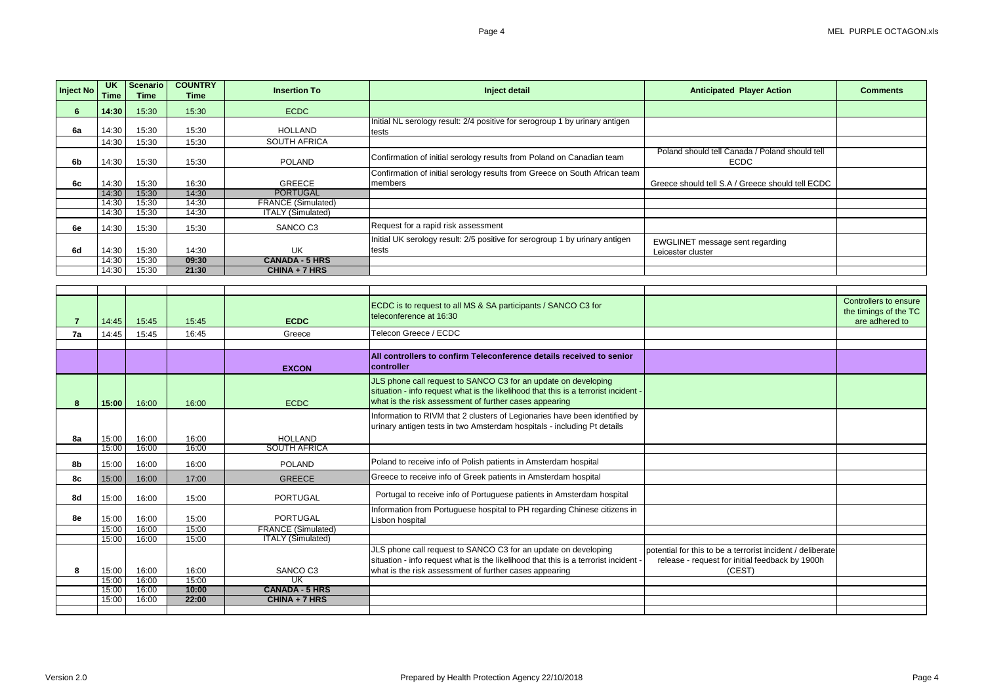| Inject No      | <b>UK</b><br>Time | <b>Scenario</b><br><b>Time</b> | <b>COUNTRY</b><br><b>Time</b> | <b>Insertion To</b>                                   | Inject detail                                                                       | <b>Anticipated Player Action</b>                              | <b>Comments</b>       |
|----------------|-------------------|--------------------------------|-------------------------------|-------------------------------------------------------|-------------------------------------------------------------------------------------|---------------------------------------------------------------|-----------------------|
| $6^{\circ}$    | 14:30             | 15:30                          | 15:30                         | <b>ECDC</b>                                           |                                                                                     |                                                               |                       |
|                |                   |                                |                               |                                                       | Initial NL serology result: 2/4 positive for serogroup 1 by urinary antigen         |                                                               |                       |
| 6a             | 14:30             | 15:30                          | 15:30                         | <b>HOLLAND</b>                                        | tests                                                                               |                                                               |                       |
|                | 14:30             | 15:30                          | 15:30                         | <b>SOUTH AFRICA</b>                                   |                                                                                     |                                                               |                       |
| 6b             | 14:30             | 15:30                          | 15:30                         | <b>POLAND</b>                                         | Confirmation of initial serology results from Poland on Canadian team               | Poland should tell Canada / Poland should tell<br><b>ECDC</b> |                       |
|                |                   |                                |                               |                                                       | Confirmation of initial serology results from Greece on South African team          |                                                               |                       |
| 6c             | 14:30             | 15:30                          | 16:30                         | <b>GREECE</b>                                         | members                                                                             | Greece should tell S.A / Greece should tell ECDC              |                       |
|                | 14:30             | 15:30                          | 14:30                         | <b>PORTUGAL</b>                                       |                                                                                     |                                                               |                       |
|                | 14:30             | 15:30                          | 14:30                         | <b>FRANCE (Simulated)</b><br><b>ITALY (Simulated)</b> |                                                                                     |                                                               |                       |
|                | 14:30             | 15:30                          | 14:30                         |                                                       |                                                                                     |                                                               |                       |
| 6e             | 14:30             | 15:30                          | 15:30                         | SANCO C3                                              | Request for a rapid risk assessment                                                 |                                                               |                       |
|                |                   |                                |                               |                                                       | Initial UK serology result: 2/5 positive for serogroup 1 by urinary antigen         | <b>EWGLINET</b> message sent regarding                        |                       |
| 6d             | 14:30             | 15:30                          | 14:30                         | UK                                                    | tests                                                                               | Leicester cluster                                             |                       |
|                | 14:30             | 15:30                          | 09:30                         | <b>CANADA - 5 HRS</b>                                 |                                                                                     |                                                               |                       |
|                | 14:30             | 15:30                          | 21:30                         | CHINA + 7 HRS                                         |                                                                                     |                                                               |                       |
|                |                   |                                |                               |                                                       |                                                                                     |                                                               |                       |
|                |                   |                                |                               |                                                       |                                                                                     |                                                               |                       |
|                |                   |                                |                               |                                                       | ECDC is to request to all MS & SA participants / SANCO C3 for                       |                                                               | Controllers to ensure |
|                |                   |                                |                               |                                                       | teleconference at 16:30                                                             |                                                               | the timings of the TC |
| $\overline{7}$ | 14:45             | 15:45                          | 15:45                         | <b>ECDC</b>                                           |                                                                                     |                                                               | are adhered to        |
| 7a             | 14:45             | 15:45                          | 16:45                         | Greece                                                | Telecon Greece / ECDC                                                               |                                                               |                       |
|                |                   |                                |                               |                                                       |                                                                                     |                                                               |                       |
|                |                   |                                |                               | <b>EXCON</b>                                          | All controllers to confirm Teleconference details received to senior<br>controller  |                                                               |                       |
|                |                   |                                |                               |                                                       | JLS phone call request to SANCO C3 for an update on developing                      |                                                               |                       |
|                |                   |                                |                               |                                                       | situation - info request what is the likelihood that this is a terrorist incident - |                                                               |                       |
| 8              | 15:00             | 16:00                          | 16:00                         | <b>ECDC</b>                                           | what is the risk assessment of further cases appearing                              |                                                               |                       |
|                |                   |                                |                               |                                                       | Information to RIVM that 2 clusters of Legionaries have been identified by          |                                                               |                       |
|                |                   |                                |                               |                                                       | urinary antigen tests in two Amsterdam hospitals - including Pt details             |                                                               |                       |
| 8a             | 15:00             | 16:00                          | 16:00                         | <b>HOLLAND</b>                                        |                                                                                     |                                                               |                       |
|                | 15:00             | 16:00                          | 16:00                         | <b>SOUTH AFRICA</b>                                   |                                                                                     |                                                               |                       |
| 8b             | 15:00             | 16:00                          | 16:00                         | <b>POLAND</b>                                         | Poland to receive info of Polish patients in Amsterdam hospital                     |                                                               |                       |
| 8c             | 15:00             | 16:00                          | 17:00                         | <b>GREECE</b>                                         | Greece to receive info of Greek patients in Amsterdam hospital                      |                                                               |                       |
| 8d             | 15:00             | 16:00                          | 15:00                         | <b>PORTUGAL</b>                                       | Portugal to receive info of Portuguese patients in Amsterdam hospital               |                                                               |                       |
| 8e             | 15:00             | 16:00                          | 15:00                         | <b>PORTUGAL</b>                                       | Information from Portuguese hospital to PH regarding Chinese citizens in            |                                                               |                       |
|                | 15:00             | 16:00                          | 15:00                         | <b>FRANCE (Simulated)</b>                             | Lisbon hospital                                                                     |                                                               |                       |
|                | 15:00             | 16:00                          | 15:00                         | <b>ITALY (Simulated)</b>                              |                                                                                     |                                                               |                       |
|                |                   |                                |                               |                                                       | JLS phone call request to SANCO C3 for an update on developing                      | potential for this to be a terrorist incident / deliberate    |                       |
|                |                   |                                |                               |                                                       | situation - info request what is the likelihood that this is a terrorist incident - | release - request for initial feedback by 1900h               |                       |
|                |                   |                                |                               |                                                       |                                                                                     |                                                               |                       |
|                |                   |                                |                               |                                                       |                                                                                     |                                                               |                       |
| 8              | 15:00<br>15:00    | 16:00<br>16:00                 | 16:00<br>15:00                | SANCO C3<br>UK                                        | what is the risk assessment of further cases appearing                              | (CEST)                                                        |                       |
|                | 15:00             | 16:00                          | 10:00                         | <b>CANADA - 5 HRS</b>                                 |                                                                                     |                                                               |                       |
|                | 15:00             | 16:00                          | 22:00                         | CHINA + 7 HRS                                         |                                                                                     |                                                               |                       |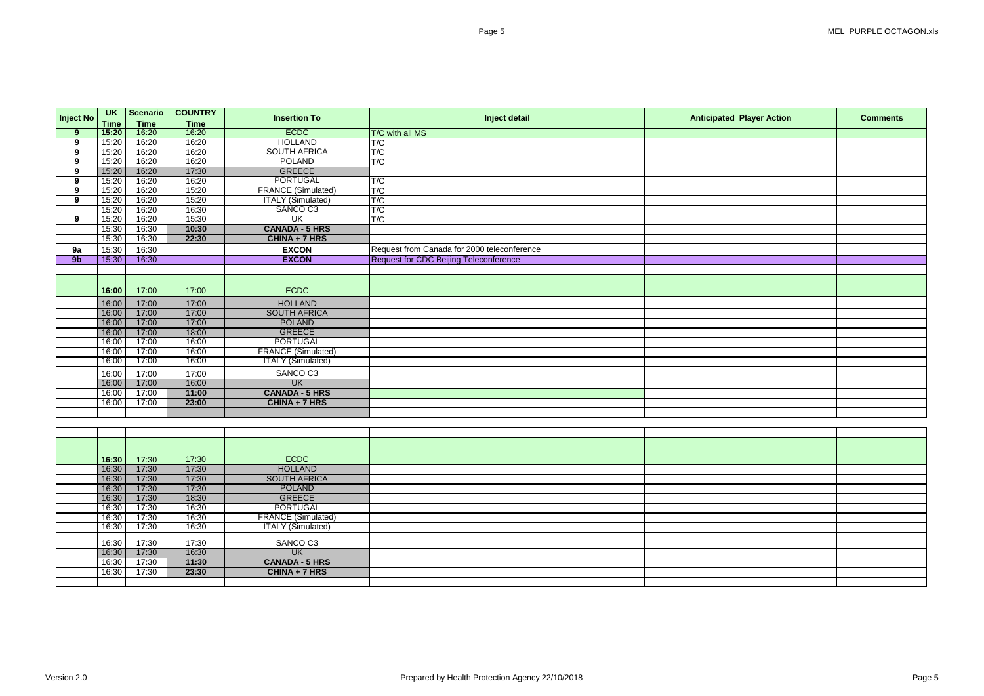**Inject No UK Time Scenario Time**<br>16:20 **COUNTRY Time Insertion To Inject detail Anticipated Player Action Comments 9 15:20 1**6:20 **16:20 16:20 ECDC T/C with all MS**<br> **9 1** 15:20 **16:20 16:20 HOLLAND T/C 9** 15:20 16:20 16:20 HOLLAND T/C **9** 15:20 16:20 16:20 SOUTH AFRICA T/C **9** 15:20 16:20 16:20 POLAND T/C **9** 15:20 16:20 17:30 GREECE<br> **9** 15:20 16:20 16:20 16:20 PORTUGAL **9** 15:20 16:20 16:20 PORTUGAL T/C<br> **9** 15:20 16:20 15:20 FRANCE (Simulated) T/C **9** 15:20 16:20 15:20 **FRANCE (Simulated)** T/C<br> **9** 15:20 16:20 15:20 **ITALY (Simulated)** T/C 15:20 16:20 15:20 15:20 **ITALY (Simulated)** T/C<br>15:20 16:20 16:30 **SANCO C3** T/C 15:20 16:20 16:30 SANCO C3 T/C<br>15:20 16:20 15:30 UK T/C **9** | 15:20 | 16:20 | 15:30 | UK | T/C 15:30 16:30 **10:30 CANADA - 5 HRS** 15:30 16:30 **22:30 CHINA + 7 HRS 9a** 15:30 16:30 16:30 **EXCON** Request from Canada for 2000 teleconference<br> **9b** 15:30 16:30 **EXCON** Request for CDC Beijing Teleconference **Request for CDC Beijing Teleconference 16:00** 17:00 17:00 **17:00 ECDC** 16:00 17:00 17:00 HOLLAND<br>16:00 17:00 17:00 17:00 SOUTH AFRIC 16:00 17:00 17:00 SOUTH AFRICA<br>16:00 17:00 17:00 POLAND 16:00 17:00 17:00 POLAND<br>16:00 17:00 18:00 18:00 GREECE 16:00 17:00 18:00 GREECE<br>16:00 17:00 16:00 PORTUGA 16:00 17:00 16:00 PORTUGAL<br>16:00 17:00 16:00 16:00 FRANCE (Simula 16:00 17:00 16:00 FRANCE (Simulated)<br>16:00 17:00 16:00 ITALY (Simulated) **ITALY (Simulated)** 16:00 17:00 17:00 SANCO C3<br>16:00 17:00 16:00 UK 16:00 17:00 16:00<br>16:00 17:00 11:00 16:00 17:00 11:00 CANADA - 5 HRS<br>16:00 17:00 23:00 CHINA + 7 HRS 16:00 17:00 **23:00 CHINA + 7 HRS 16:30** 17:30 17:30 ECDC

| 16:30 | 17:30 | 17:30 | <b>ECDC</b>               |  |
|-------|-------|-------|---------------------------|--|
| 16:30 | 17:30 | 17:30 | <b>HOLLAND</b>            |  |
| 16:30 | 17:30 | 17:30 | <b>SOUTH AFRICA</b>       |  |
| 16:30 | 17:30 | 17:30 | <b>POLAND</b>             |  |
| 16:30 | 17:30 | 18:30 | <b>GREECE</b>             |  |
| 16:30 | 17:30 | 16:30 | <b>PORTUGAL</b>           |  |
| 16:30 | 17:30 | 16:30 | <b>FRANCE (Simulated)</b> |  |
| 16:30 | 17:30 | 16:30 | <b>ITALY (Simulated)</b>  |  |
| 16:30 | 17:30 | 17:30 | SANCO C3                  |  |
| 16:30 | 17:30 | 16:30 | <b>UK</b>                 |  |
| 16:30 | 17:30 | 11:30 | <b>CANADA - 5 HRS</b>     |  |
| 16:30 | 17:30 | 23:30 | CHINA + 7 HRS             |  |
|       |       |       |                           |  |

| <b>layer Action</b> | <b>Comments</b> |
|---------------------|-----------------|
|                     |                 |
|                     |                 |
|                     |                 |
|                     |                 |
|                     |                 |
|                     |                 |
|                     |                 |
|                     |                 |
|                     |                 |
|                     |                 |
|                     |                 |
|                     |                 |
|                     |                 |
|                     |                 |
|                     |                 |
|                     |                 |
|                     |                 |
|                     |                 |
|                     |                 |
|                     |                 |
|                     |                 |
|                     |                 |
|                     |                 |
|                     |                 |
|                     |                 |
|                     |                 |
|                     |                 |
|                     |                 |
|                     |                 |
|                     |                 |
|                     |                 |
|                     |                 |
|                     |                 |
|                     |                 |
|                     |                 |
|                     |                 |
|                     |                 |
|                     |                 |
|                     |                 |
|                     |                 |
|                     |                 |
|                     |                 |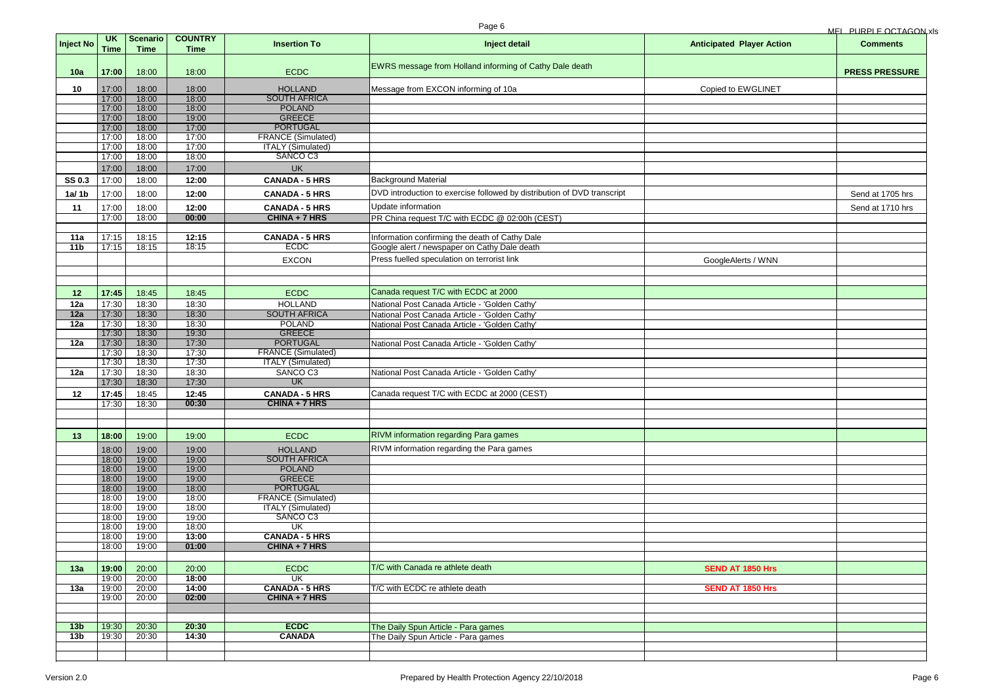|                  |                          |                                |                               |                                              | Page 6                                                                  |                                  | MEL PURPLE OCTAGON xls |
|------------------|--------------------------|--------------------------------|-------------------------------|----------------------------------------------|-------------------------------------------------------------------------|----------------------------------|------------------------|
| <b>Inject No</b> | <b>UK</b><br><b>Time</b> | <b>Scenario</b><br><b>Time</b> | <b>COUNTRY</b><br><b>Time</b> | <b>Insertion To</b>                          | Inject detail                                                           | <b>Anticipated Player Action</b> | <b>Comments</b>        |
| 10a              | 17:00                    | 18:00                          | 18:00                         | <b>ECDC</b>                                  | EWRS message from Holland informing of Cathy Dale death                 |                                  | <b>PRESS PRESSURE</b>  |
| 10               | 17:00                    | 18:00                          | 18:00                         | <b>HOLLAND</b>                               | Message from EXCON informing of 10a                                     | Copied to EWGLINET               |                        |
|                  | 17:00                    | 18:00                          | 18:00                         | <b>SOUTH AFRICA</b>                          |                                                                         |                                  |                        |
|                  | 17:00                    | 18:00                          | 18:00                         | <b>POLAND</b>                                |                                                                         |                                  |                        |
|                  | 17:00<br>17:00           | 18:00<br>18:00                 | 19:00<br>17:00                | <b>GREECE</b><br><b>PORTUGAL</b>             |                                                                         |                                  |                        |
|                  | 17:00                    | 18:00                          | 17:00                         | <b>FRANCE (Simulated)</b>                    |                                                                         |                                  |                        |
|                  | 17:00                    | 18:00                          | 17:00                         | <b>ITALY</b> (Simulated)                     |                                                                         |                                  |                        |
|                  | 17:00                    | 18:00                          | 18:00                         | SANCO C3                                     |                                                                         |                                  |                        |
|                  | 17:00                    | 18:00                          | 17:00                         | <b>UK</b>                                    |                                                                         |                                  |                        |
| <b>SS 0.3</b>    | 17:00                    | 18:00                          | 12:00                         | <b>CANADA - 5 HRS</b>                        | <b>Background Material</b>                                              |                                  |                        |
| 1a/1b            | 17:00                    | 18:00                          | 12:00                         | <b>CANADA - 5 HRS</b>                        | DVD introduction to exercise followed by distribution of DVD transcript |                                  | Send at 1705 hrs       |
| 11               | 17:00                    | 18:00                          | 12:00                         | <b>CANADA - 5 HRS</b>                        | Update information                                                      |                                  | Send at 1710 hrs       |
|                  | 17:00                    | 18:00                          | 00:00                         | CHINA + 7 HRS                                | PR China request T/C with ECDC @ 02:00h (CEST)                          |                                  |                        |
| 11a              | 17:15                    | 18:15                          | 12:15                         | <b>CANADA - 5 HRS</b>                        | Information confirming the death of Cathy Dale                          |                                  |                        |
| 11 <sub>b</sub>  | 17:15                    | 18:15                          | 18:15                         | <b>ECDC</b>                                  | Google alert / newspaper on Cathy Dale death                            |                                  |                        |
|                  |                          |                                |                               | <b>EXCON</b>                                 | Press fuelled speculation on terrorist link                             |                                  |                        |
|                  |                          |                                |                               |                                              |                                                                         | GoogleAlerts / WNN               |                        |
|                  |                          |                                |                               |                                              |                                                                         |                                  |                        |
| 12 <sub>2</sub>  | 17:45                    | 18:45                          | 18:45                         | <b>ECDC</b>                                  | Canada request T/C with ECDC at 2000                                    |                                  |                        |
| 12a              | 17:30                    | 18:30                          | 18:30                         | <b>HOLLAND</b>                               | National Post Canada Article - 'Golden Cathy'                           |                                  |                        |
| 12a              | 17:30                    | 18:30                          | 18:30                         | <b>SOUTH AFRICA</b>                          | National Post Canada Article - 'Golden Cathy'                           |                                  |                        |
| 12a              | 17:30                    | 18:30                          | 18:30                         | <b>POLAND</b>                                | National Post Canada Article - 'Golden Cathy'                           |                                  |                        |
|                  | 17:30                    | 18:30                          | 19:30                         | <b>GREECE</b>                                |                                                                         |                                  |                        |
| 12a              | 17:30<br>17:30           | 18:30<br>18:30                 | 17:30<br>17:30                | <b>PORTUGAL</b><br><b>FRANCE (Simulated)</b> | National Post Canada Article - 'Golden Cathy'                           |                                  |                        |
|                  | 17:30                    | 18:30                          | 17:30                         | <b>ITALY (Simulated)</b>                     |                                                                         |                                  |                        |
| 12a              | 17:30                    | 18:30                          | 18:30                         | SANCO C3                                     | National Post Canada Article - 'Golden Cathy'                           |                                  |                        |
|                  | 17:30                    | 18:30                          | 17:30                         | <b>UK</b>                                    |                                                                         |                                  |                        |
| 12               | 17:45                    | 18:45                          | 12:45                         | <b>CANADA - 5 HRS</b>                        | Canada request T/C with ECDC at 2000 (CEST)                             |                                  |                        |
|                  | 17:30                    | 18:30                          | 00:30                         | CHINA + 7 HRS                                |                                                                         |                                  |                        |
|                  |                          |                                |                               |                                              |                                                                         |                                  |                        |
| 13               | 18:00                    | 19:00                          | 19:00                         | <b>ECDC</b>                                  | RIVM information regarding Para games                                   |                                  |                        |
|                  |                          |                                |                               |                                              | RIVM information regarding the Para games                               |                                  |                        |
|                  | 18:00                    | 19:00                          | 19:00                         | <b>HOLLAND</b><br><b>SOUTH AFRICA</b>        |                                                                         |                                  |                        |
|                  | 18:00<br>18:00           | 19:00<br>19:00                 | 19:00<br>19:00                | <b>POLAND</b>                                |                                                                         |                                  |                        |
|                  | 18:00                    | 19:00                          | 19:00                         | <b>GREECE</b>                                |                                                                         |                                  |                        |
|                  | 18:00                    | 19:00                          | 18:00                         | <b>PORTUGAL</b>                              |                                                                         |                                  |                        |
|                  | 18:00                    | 19:00                          | 18:00                         | <b>FRANCE (Simulated)</b>                    |                                                                         |                                  |                        |
|                  | 18:00                    | 19:00                          | 18:00                         | <b>ITALY (Simulated)</b>                     |                                                                         |                                  |                        |
|                  | 18:00                    | 19:00                          | 19:00                         | SANCO C3                                     |                                                                         |                                  |                        |
|                  | 18:00                    | 19:00                          | 18:00<br>13:00                | UK<br><b>CANADA - 5 HRS</b>                  |                                                                         |                                  |                        |
|                  | 18:00<br>18:00           | 19:00<br>19:00                 | 01:00                         | CHINA + 7 HRS                                |                                                                         |                                  |                        |
|                  |                          |                                |                               |                                              |                                                                         |                                  |                        |
| 13a              | 19:00                    | 20:00                          | 20:00                         | <b>ECDC</b>                                  | T/C with Canada re athlete death                                        | <b>SEND AT 1850 Hrs</b>          |                        |
|                  | 19:00                    | 20:00                          | 18:00                         | $\overline{\mathsf{U}}$ K                    |                                                                         |                                  |                        |
| 13a              | 19:00                    | 20:00                          | 14:00                         | <b>CANADA - 5 HRS</b>                        | T/C with ECDC re athlete death                                          | <b>SEND AT 1850 Hrs</b>          |                        |
|                  | 19:00                    | 20:00                          | 02:00                         | CHINA + 7 HRS                                |                                                                         |                                  |                        |
|                  |                          |                                |                               |                                              |                                                                         |                                  |                        |
| 13 <sub>b</sub>  | 19:30                    | 20:30                          | 20:30                         | <b>ECDC</b>                                  | The Daily Spun Article - Para games                                     |                                  |                        |
| 13 <sub>b</sub>  | 19:30                    | 20:30                          | 14:30                         | <b>CANADA</b>                                | The Daily Spun Article - Para games                                     |                                  |                        |
|                  |                          |                                |                               |                                              |                                                                         |                                  |                        |
|                  |                          |                                |                               |                                              |                                                                         |                                  |                        |

|  | <u>MEL PURPLE OCTAGON xIs</u> |
|--|-------------------------------|
|  |                               |

| <b>layer Action</b> | <b>Comments</b>       |
|---------------------|-----------------------|
|                     | <b>PRESS PRESSURE</b> |
| WGLINET             |                       |
|                     |                       |
|                     |                       |
|                     |                       |
|                     |                       |
|                     |                       |
|                     |                       |
|                     | Send at 1705 hrs      |
|                     | Send at 1710 hrs      |
|                     |                       |
|                     |                       |
|                     |                       |
| ts / WNN            |                       |
|                     |                       |
|                     |                       |
|                     |                       |
|                     |                       |
|                     |                       |
|                     |                       |
|                     |                       |
|                     |                       |
|                     |                       |
|                     |                       |
|                     |                       |
|                     |                       |
|                     |                       |
|                     |                       |
|                     |                       |
|                     |                       |
|                     |                       |
|                     |                       |
|                     |                       |
| 1850 Hrs            |                       |
| 1850 Hrs            |                       |
|                     |                       |
|                     |                       |
|                     |                       |
|                     |                       |
|                     |                       |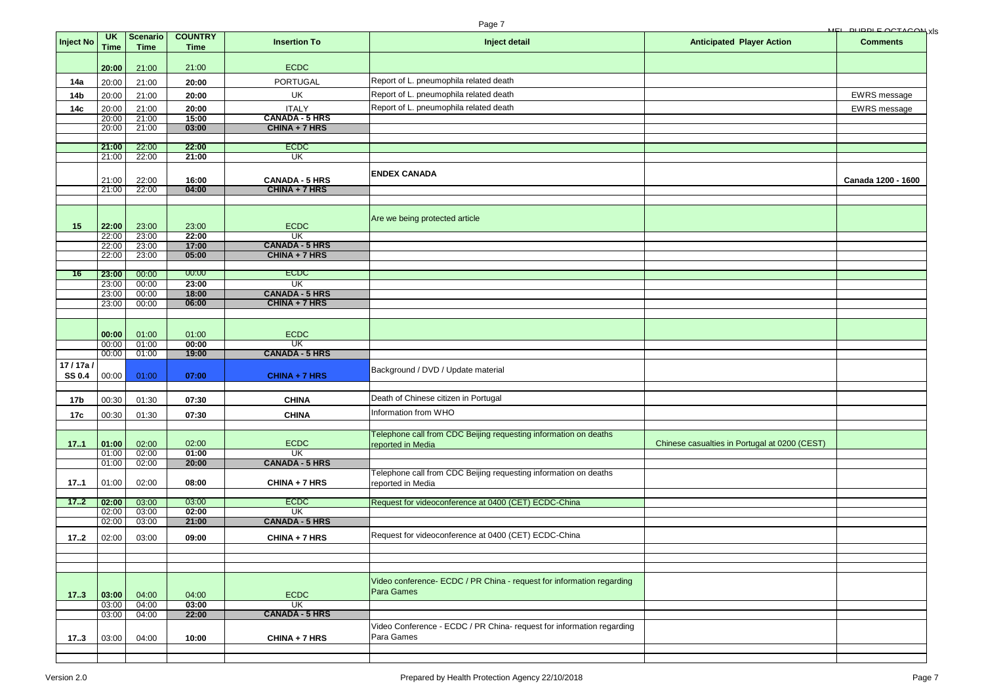|                 |                   |                         |                               |                                                    | Page 7                                                                |                                               | <u>MEL DIIDDI E OCTACON, XIS</u> |
|-----------------|-------------------|-------------------------|-------------------------------|----------------------------------------------------|-----------------------------------------------------------------------|-----------------------------------------------|----------------------------------|
| Inject No       | <b>UK</b><br>Time | Scenario<br><b>Time</b> | <b>COUNTRY</b><br><b>Time</b> | <b>Insertion To</b>                                | Inject detail                                                         | <b>Anticipated Player Action</b>              | <b>Comments</b>                  |
|                 |                   |                         |                               |                                                    |                                                                       |                                               |                                  |
|                 | 20:00             | 21:00                   | 21:00                         | <b>ECDC</b>                                        |                                                                       |                                               |                                  |
| 14a             | 20:00             | 21:00                   | 20:00                         | <b>PORTUGAL</b>                                    | Report of L. pneumophila related death                                |                                               |                                  |
| 14 <sub>b</sub> | 20:00             | 21:00                   | 20:00                         | UK                                                 | Report of L. pneumophila related death                                |                                               | EWRS message                     |
| 14 <sub>c</sub> | 20:00             | 21:00                   | 20:00                         | <b>ITALY</b>                                       | Report of L. pneumophila related death                                |                                               | <b>EWRS</b> message              |
|                 | 20:00             | 21:00                   | 15:00                         | <b>CANADA - 5 HRS</b>                              |                                                                       |                                               |                                  |
|                 | 20:00             | 21:00                   | 03:00                         | CHINA + 7 HRS                                      |                                                                       |                                               |                                  |
|                 | 21:00             | 22:00                   | 22:00                         | <b>ECDC</b>                                        |                                                                       |                                               |                                  |
|                 | 21:00             | 22:00                   | 21:00                         | $\overline{\mathsf{U}}$ K                          |                                                                       |                                               |                                  |
|                 | 21:00             | 22:00                   | 16:00                         | <b>CANADA - 5 HRS</b>                              | <b>ENDEX CANADA</b>                                                   |                                               | Canada 1200 - 1600               |
|                 | 21:00             | 22:00                   | 04:00                         | CHINA + 7 HRS                                      |                                                                       |                                               |                                  |
|                 |                   |                         |                               |                                                    |                                                                       |                                               |                                  |
|                 |                   |                         |                               |                                                    | Are we being protected article                                        |                                               |                                  |
| 15              | 22:00             | 23:00                   | 23:00                         | <b>ECDC</b>                                        |                                                                       |                                               |                                  |
|                 | 22:00<br>22:00    | 23:00                   | 22:00<br>17:00                | $\overline{\mathsf{U}}$ K<br><b>CANADA - 5 HRS</b> |                                                                       |                                               |                                  |
|                 | 22:00             | 23:00<br>23:00          | 05:00                         | CHINA + 7 HRS                                      |                                                                       |                                               |                                  |
|                 |                   |                         |                               |                                                    |                                                                       |                                               |                                  |
| 16              | 23:00             | 00:00                   | 00:00                         | <b>ECDC</b>                                        |                                                                       |                                               |                                  |
|                 | 23:00             | 00:00                   | 23:00                         | $\overline{\mathsf{UK}}$<br><b>CANADA - 5 HRS</b>  |                                                                       |                                               |                                  |
|                 | 23:00<br>23:00    | 00:00<br>00:00          | 18:00<br>06:00                | CHINA + 7 HRS                                      |                                                                       |                                               |                                  |
|                 |                   |                         |                               |                                                    |                                                                       |                                               |                                  |
|                 |                   |                         |                               |                                                    |                                                                       |                                               |                                  |
|                 | 00:00             | 01:00                   | 01:00                         | <b>ECDC</b>                                        |                                                                       |                                               |                                  |
|                 | 00:00<br>00:00    | 01:00<br>01:00          | 00:00<br>19:00                | $\overline{\mathsf{U}}$ K<br><b>CANADA - 5 HRS</b> |                                                                       |                                               |                                  |
| 17/17a/         |                   |                         |                               |                                                    |                                                                       |                                               |                                  |
| <b>SS 0.4</b>   | 00:00             | 01:00                   | 07:00                         | CHINA + 7 HRS                                      | Background / DVD / Update material                                    |                                               |                                  |
|                 |                   |                         |                               |                                                    |                                                                       |                                               |                                  |
| 17 <sub>b</sub> | 00:30             | 01:30                   | 07:30                         | <b>CHINA</b>                                       | Death of Chinese citizen in Portugal                                  |                                               |                                  |
|                 |                   |                         | 07:30                         | <b>CHINA</b>                                       | Information from WHO                                                  |                                               |                                  |
| 17c             | 00:30             | 01:30                   |                               |                                                    |                                                                       |                                               |                                  |
|                 |                   |                         |                               |                                                    | Telephone call from CDC Beijing requesting information on deaths      |                                               |                                  |
| 17.1            | 01:00             | 02:00                   | 02:00                         | <b>ECDC</b>                                        | reported in Media                                                     | Chinese casualties in Portugal at 0200 (CEST) |                                  |
|                 | 01:00<br>01:00    | 02:00<br>02:00          | 01:00<br>20:00                | $\overline{\mathsf{U}}$ K<br><b>CANADA - 5 HRS</b> |                                                                       |                                               |                                  |
|                 |                   |                         |                               |                                                    | Telephone call from CDC Beijing requesting information on deaths      |                                               |                                  |
| 17.1            | 01:00             | 02:00                   | 08:00                         | CHINA + 7 HRS                                      | reported in Media                                                     |                                               |                                  |
|                 |                   |                         |                               |                                                    |                                                                       |                                               |                                  |
| 17.2            | 02:00<br>02:00    | 03:00<br>03:00          | 03:00<br>02:00                | <b>ECDC</b><br>$\overline{\mathsf{UK}}$            | Request for videoconference at 0400 (CET) ECDC-China                  |                                               |                                  |
|                 | 02:00             | 03:00                   | 21:00                         | <b>CANADA - 5 HRS</b>                              |                                                                       |                                               |                                  |
|                 |                   |                         |                               |                                                    | Request for videoconference at 0400 (CET) ECDC-China                  |                                               |                                  |
| 172             | 02:00             | 03:00                   | 09:00                         | CHINA + 7 HRS                                      |                                                                       |                                               |                                  |
|                 |                   |                         |                               |                                                    |                                                                       |                                               |                                  |
|                 |                   |                         |                               |                                                    |                                                                       |                                               |                                  |
|                 |                   |                         |                               |                                                    | Video conference- ECDC / PR China - request for information regarding |                                               |                                  |
| 17.3            | 03:00             | 04:00                   | 04:00                         | <b>ECDC</b>                                        | <b>Para Games</b>                                                     |                                               |                                  |
|                 | 03:00             | 04:00                   | 03:00                         | $\overline{\text{UK}}$                             |                                                                       |                                               |                                  |
|                 | 03:00             | 04:00                   | 22:00                         | <b>CANADA - 5 HRS</b>                              |                                                                       |                                               |                                  |
|                 |                   |                         |                               |                                                    | Video Conference - ECDC / PR China- request for information regarding |                                               |                                  |
| 173             | 03:00             | 04:00                   | 10:00                         | CHINA + 7 HRS                                      | Para Games                                                            |                                               |                                  |
|                 |                   |                         |                               |                                                    |                                                                       |                                               |                                  |
|                 |                   |                         |                               |                                                    |                                                                       |                                               |                                  |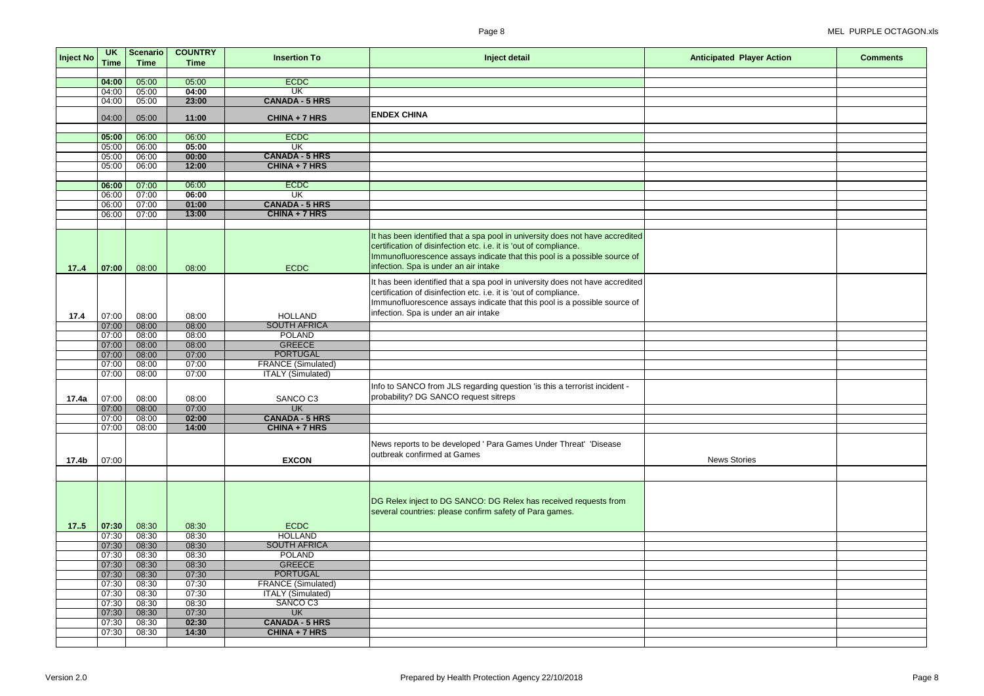| <b>Inject No</b> | <b>UK</b><br>Time | Scenario<br><b>Time</b> | <b>COUNTRY</b><br><b>Time</b> | <b>Insertion To</b>                    | Inject detail                                                                                                                                                                                                                                                            | <b>Anticipated Player Action</b> | <b>Comments</b> |
|------------------|-------------------|-------------------------|-------------------------------|----------------------------------------|--------------------------------------------------------------------------------------------------------------------------------------------------------------------------------------------------------------------------------------------------------------------------|----------------------------------|-----------------|
|                  |                   |                         |                               |                                        |                                                                                                                                                                                                                                                                          |                                  |                 |
|                  | 04:00             | 05:00                   | 05:00                         | <b>ECDC</b>                            |                                                                                                                                                                                                                                                                          |                                  |                 |
|                  | 04:00             | 05:00                   | 04:00                         | $\overline{\mathsf{UK}}$               |                                                                                                                                                                                                                                                                          |                                  |                 |
|                  | 04:00             | 05:00                   | 23:00                         | <b>CANADA - 5 HRS</b>                  |                                                                                                                                                                                                                                                                          |                                  |                 |
|                  | 04:00             | 05:00                   | 11:00                         | CHINA + 7 HRS                          | <b>ENDEX CHINA</b>                                                                                                                                                                                                                                                       |                                  |                 |
|                  | 05:00             | 06:00                   | 06:00                         | <b>ECDC</b>                            |                                                                                                                                                                                                                                                                          |                                  |                 |
|                  | 05:00             | 06:00                   | 05:00                         | UK                                     |                                                                                                                                                                                                                                                                          |                                  |                 |
|                  | 05:00             | 06:00                   | 00:00                         | <b>CANADA - 5 HRS</b>                  |                                                                                                                                                                                                                                                                          |                                  |                 |
|                  | 05:00             | 06:00                   | 12:00                         | CHINA + 7 HRS                          |                                                                                                                                                                                                                                                                          |                                  |                 |
|                  |                   |                         |                               |                                        |                                                                                                                                                                                                                                                                          |                                  |                 |
|                  | 06:00             | 07:00                   | 06:00                         | <b>ECDC</b>                            |                                                                                                                                                                                                                                                                          |                                  |                 |
|                  | 06:00             | 07:00                   | 06:00                         | $\overline{\text{UK}}$                 |                                                                                                                                                                                                                                                                          |                                  |                 |
|                  | 06:00             | 07:00                   | 01:00                         | <b>CANADA - 5 HRS</b>                  |                                                                                                                                                                                                                                                                          |                                  |                 |
|                  | 06:00             | 07:00                   | 13:00                         | CHINA + 7 HRS                          |                                                                                                                                                                                                                                                                          |                                  |                 |
|                  |                   |                         |                               |                                        |                                                                                                                                                                                                                                                                          |                                  |                 |
| 17.4             | 07:00             | 08:00                   | 08:00                         | <b>ECDC</b>                            | It has been identified that a spa pool in university does not have accredited<br>certification of disinfection etc. i.e. it is 'out of compliance.<br>Immunofluorescence assays indicate that this pool is a possible source of<br>infection. Spa is under an air intake |                                  |                 |
| 17.4             | 07:00             | 08:00                   | 08:00                         | <b>HOLLAND</b>                         | t has been identified that a spa pool in university does not have accredited<br>certification of disinfection etc. i.e. it is 'out of compliance.<br>Immunofluorescence assays indicate that this pool is a possible source of<br>infection. Spa is under an air intake  |                                  |                 |
|                  | 07:00             | 08:00                   | 08:00                         | <b>SOUTH AFRICA</b>                    |                                                                                                                                                                                                                                                                          |                                  |                 |
|                  | 07:00             | 08:00                   | 08:00                         | <b>POLAND</b>                          |                                                                                                                                                                                                                                                                          |                                  |                 |
|                  | 07:00             | 08:00                   | 08:00                         | <b>GREECE</b>                          |                                                                                                                                                                                                                                                                          |                                  |                 |
|                  | 07:00             | 08:00                   | 07:00                         | <b>PORTUGAL</b>                        |                                                                                                                                                                                                                                                                          |                                  |                 |
|                  | 07:00             | 08:00                   | 07:00                         | <b>FRANCE (Simulated)</b>              |                                                                                                                                                                                                                                                                          |                                  |                 |
|                  | 07:00             | 08:00                   | 07:00                         | <b>ITALY</b> (Simulated)               |                                                                                                                                                                                                                                                                          |                                  |                 |
| 17.4a            | 07:00             | 08:00                   | 08:00                         | SANCO C3                               | nfo to SANCO from JLS regarding question 'is this a terrorist incident -<br>probability? DG SANCO request sitreps                                                                                                                                                        |                                  |                 |
|                  | 07:00             | 08:00                   | 07:00                         | <b>UK</b>                              |                                                                                                                                                                                                                                                                          |                                  |                 |
|                  | 07:00             | 08:00                   | 02:00                         | <b>CANADA - 5 HRS</b>                  |                                                                                                                                                                                                                                                                          |                                  |                 |
|                  | 07:00             | 08:00                   | 14:00                         | CHINA + 7 HRS                          |                                                                                                                                                                                                                                                                          |                                  |                 |
| 17.4b            | 07:00             |                         |                               | <b>EXCON</b>                           | News reports to be developed ' Para Games Under Threat' 'Disease<br>outbreak confirmed at Games                                                                                                                                                                          | <b>News Stories</b>              |                 |
|                  |                   |                         |                               |                                        |                                                                                                                                                                                                                                                                          |                                  |                 |
| 17.5             | 07:30             | 08:30                   | 08:30                         | <b>ECDC</b>                            | DG Relex inject to DG SANCO: DG Relex has received requests from<br>several countries: please confirm safety of Para games.                                                                                                                                              |                                  |                 |
|                  | 07:30             | 08:30                   | 08:30                         | <b>HOLLAND</b>                         |                                                                                                                                                                                                                                                                          |                                  |                 |
|                  | 07:30             | 08:30                   | 08:30                         | <b>SOUTH AFRICA</b>                    |                                                                                                                                                                                                                                                                          |                                  |                 |
|                  | 07:30             | 08:30                   | 08:30                         | <b>POLAND</b>                          |                                                                                                                                                                                                                                                                          |                                  |                 |
|                  | 07:30             | 08:30                   | 08:30                         | <b>GREECE</b>                          |                                                                                                                                                                                                                                                                          |                                  |                 |
|                  | 07:30             | 08:30                   | 07:30                         | <b>PORTUGAL</b>                        |                                                                                                                                                                                                                                                                          |                                  |                 |
|                  | 07:30             | 08:30                   | 07:30                         | <b>FRANCE (Simulated)</b>              |                                                                                                                                                                                                                                                                          |                                  |                 |
|                  | 07:30             | 08:30                   | 07:30                         | <b>ITALY (Simulated)</b>               |                                                                                                                                                                                                                                                                          |                                  |                 |
|                  | 07:30             | 08:30                   | 08:30                         | SANCO C3                               |                                                                                                                                                                                                                                                                          |                                  |                 |
|                  | 07:30             | 08:30                   | 07:30                         | <b>UK</b>                              |                                                                                                                                                                                                                                                                          |                                  |                 |
|                  | 07:30<br>07:30    | 08:30<br>08:30          | 02:30<br>14:30                | <b>CANADA - 5 HRS</b><br>CHINA + 7 HRS |                                                                                                                                                                                                                                                                          |                                  |                 |
|                  |                   |                         |                               |                                        |                                                                                                                                                                                                                                                                          |                                  |                 |
|                  |                   |                         |                               |                                        |                                                                                                                                                                                                                                                                          |                                  |                 |

## Page 8 MEL PURPLE OCTAGON.xls

| <b>layer Action</b> | <b>Comments</b> |
|---------------------|-----------------|
|                     |                 |
|                     |                 |
|                     |                 |
|                     |                 |
|                     |                 |
|                     |                 |
|                     |                 |
|                     |                 |
|                     |                 |
|                     |                 |
|                     |                 |
|                     |                 |
|                     |                 |
|                     |                 |
|                     |                 |
|                     |                 |
|                     |                 |
|                     |                 |
|                     |                 |
|                     |                 |
|                     |                 |
|                     |                 |
|                     |                 |
|                     |                 |
|                     |                 |
|                     |                 |
|                     |                 |
|                     |                 |
| ries                |                 |
|                     |                 |
|                     |                 |
|                     |                 |
|                     |                 |
|                     |                 |
|                     |                 |
|                     |                 |
|                     |                 |
|                     |                 |
|                     |                 |
|                     |                 |
|                     |                 |
|                     |                 |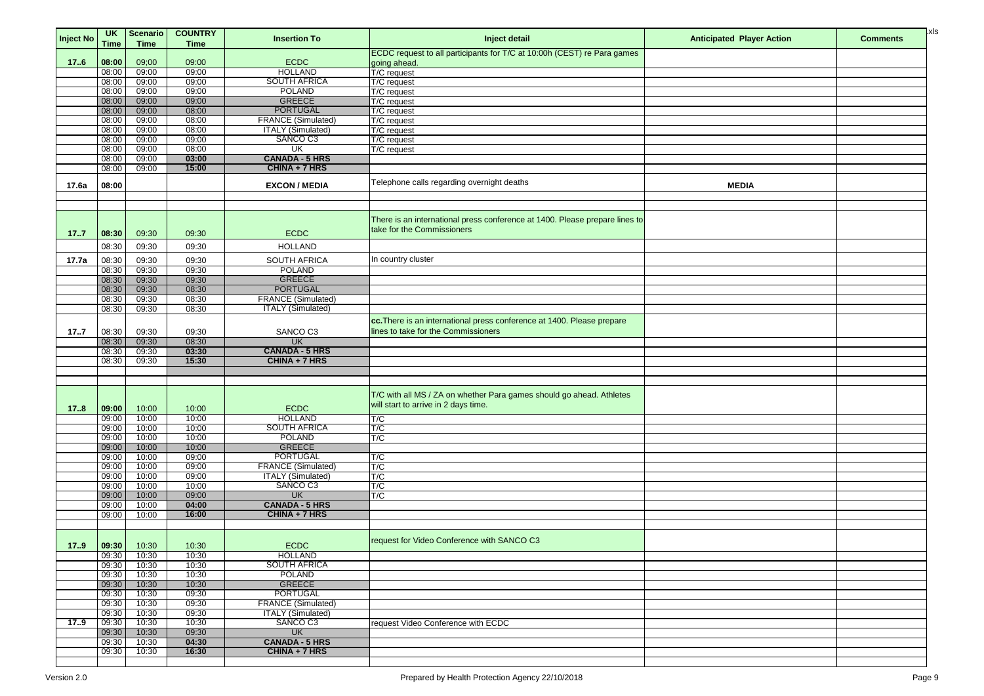| Inject No | <b>UK</b><br><b>Time</b> | <b>Scenario</b><br><b>Time</b> | <b>COUNTRY</b><br><b>Time</b> | <b>Insertion To</b>       | Inject detail                                                                           | <b>Anticipated Player Action</b> | <b>Comments</b> | <mark>l</mark> xls |
|-----------|--------------------------|--------------------------------|-------------------------------|---------------------------|-----------------------------------------------------------------------------------------|----------------------------------|-----------------|--------------------|
| 176       | 08:00                    | 09;00                          | 09:00                         | <b>ECDC</b>               | ECDC request to all participants for T/C at 10:00h (CEST) re Para games<br>going ahead. |                                  |                 |                    |
|           | 08:00                    | 09:00                          | 09:00                         | <b>HOLLAND</b>            | T/C request                                                                             |                                  |                 |                    |
|           | 08:00                    | 09:00                          | 09:00                         | <b>SOUTH AFRICA</b>       | T/C request                                                                             |                                  |                 |                    |
|           | 08:00                    | 09:00                          | 09:00                         | <b>POLAND</b>             | T/C request                                                                             |                                  |                 |                    |
|           | 08:00                    | 09:00                          | 09:00                         | <b>GREECE</b>             | T/C request                                                                             |                                  |                 |                    |
|           | 08:00                    | 09:00                          | 08:00                         | <b>PORTUGAL</b>           | T/C request                                                                             |                                  |                 |                    |
|           | 08:00                    | 09:00                          | 08:00                         | <b>FRANCE (Simulated)</b> | T/C request                                                                             |                                  |                 |                    |
|           | 08:00                    | 09:00                          | 08:00                         | <b>ITALY (Simulated)</b>  | T/C request                                                                             |                                  |                 |                    |
|           | 08:00                    | 09:00                          | 09:00                         | SANCO C3                  | T/C request                                                                             |                                  |                 |                    |
|           | 08:00                    | 09:00                          | 08:00                         | UK                        | T/C request                                                                             |                                  |                 |                    |
|           | 08:00                    | 09:00                          | 03:00                         | <b>CANADA - 5 HRS</b>     |                                                                                         |                                  |                 |                    |
|           | 08:00                    | 09:00                          | 15:00                         | CHINA + 7 HRS             |                                                                                         |                                  |                 |                    |
|           |                          |                                |                               |                           |                                                                                         |                                  |                 |                    |
| 17.6a     | 08:00                    |                                |                               | <b>EXCON / MEDIA</b>      | Telephone calls regarding overnight deaths                                              | <b>MEDIA</b>                     |                 |                    |
|           |                          |                                |                               |                           |                                                                                         |                                  |                 |                    |
|           |                          |                                |                               |                           |                                                                                         |                                  |                 |                    |
|           |                          |                                |                               |                           |                                                                                         |                                  |                 |                    |
|           |                          |                                |                               |                           | There is an international press conference at 1400. Please prepare lines to             |                                  |                 |                    |
| 17.7      | 08:30                    | 09:30                          | 09:30                         | <b>ECDC</b>               | take for the Commissioners                                                              |                                  |                 |                    |
|           | 08:30                    | 09:30                          | 09:30                         | <b>HOLLAND</b>            |                                                                                         |                                  |                 |                    |
| 17.7a     | 08:30                    | 09:30                          | 09:30                         | <b>SOUTH AFRICA</b>       | In country cluster                                                                      |                                  |                 |                    |
|           | 08:30                    | 09:30                          | 09:30                         | <b>POLAND</b>             |                                                                                         |                                  |                 |                    |
|           | 08:30                    | 09:30                          | 09:30                         | <b>GREECE</b>             |                                                                                         |                                  |                 |                    |
|           | 08:30                    | 09:30                          | 08:30                         | <b>PORTUGAL</b>           |                                                                                         |                                  |                 |                    |
|           | 08:30                    | 09:30                          | 08:30                         | <b>FRANCE (Simulated)</b> |                                                                                         |                                  |                 |                    |
|           | 08:30                    | 09:30                          | 08:30                         | <b>ITALY</b> (Simulated)  |                                                                                         |                                  |                 |                    |
|           |                          |                                |                               |                           |                                                                                         |                                  |                 |                    |
|           |                          |                                |                               |                           | cc. There is an international press conference at 1400. Please prepare                  |                                  |                 |                    |
| 177       | 08:30                    | 09:30                          | 09:30                         | SANCO C3                  | lines to take for the Commissioners                                                     |                                  |                 |                    |
|           | 08:30                    | 09:30                          | 08:30                         | <b>UK</b>                 |                                                                                         |                                  |                 |                    |
|           | 08:30                    | 09:30                          | 03:30                         | <b>CANADA - 5 HRS</b>     |                                                                                         |                                  |                 |                    |
|           | 08:30                    | 09:30                          | 15:30                         | CHINA + 7 HRS             |                                                                                         |                                  |                 |                    |
|           |                          |                                |                               |                           |                                                                                         |                                  |                 |                    |
|           |                          |                                |                               |                           |                                                                                         |                                  |                 |                    |
|           |                          |                                |                               |                           | T/C with all MS / ZA on whether Para games should go ahead. Athletes                    |                                  |                 |                    |
| 178       | 09:00                    | 10:00                          | 10:00                         | <b>ECDC</b>               | will start to arrive in 2 days time.                                                    |                                  |                 |                    |
|           | 09:00                    | 10:00                          | 10:00                         | <b>HOLLAND</b>            | T/C                                                                                     |                                  |                 |                    |
|           | 09:00                    | 10:00                          | 10:00                         | <b>SOUTH AFRICA</b>       | T/C                                                                                     |                                  |                 |                    |
|           | 09:00                    | 10:00                          | 10:00                         | <b>POLAND</b>             | T/C                                                                                     |                                  |                 |                    |
|           | 09:00                    | 10:00                          | 10:00                         | <b>GREECE</b>             |                                                                                         |                                  |                 |                    |
|           | 09:00                    | 10:00                          | 09:00                         | <b>PORTUGAL</b>           | T/C                                                                                     |                                  |                 |                    |
|           | 09:00                    | 10:00                          | 09:00                         | <b>FRANCE (Simulated)</b> | T/C                                                                                     |                                  |                 |                    |
|           | 09:00                    | 10:00                          | 09:00                         | <b>ITALY (Simulated)</b>  | T/C                                                                                     |                                  |                 |                    |
|           | 09:00                    | 10:00                          | 10:00                         | SANCO C3                  | T/C                                                                                     |                                  |                 |                    |
|           | 09:00                    | 10:00                          | 09:00                         | <b>UK</b>                 | T/C                                                                                     |                                  |                 |                    |
|           | 09:00                    | 10:00                          | 04:00                         | <b>CANADA - 5 HRS</b>     |                                                                                         |                                  |                 |                    |
|           | 09:00                    | 10:00                          | 16:00                         | CHINA + 7 HRS             |                                                                                         |                                  |                 |                    |
|           |                          |                                |                               |                           |                                                                                         |                                  |                 |                    |
|           |                          |                                |                               |                           |                                                                                         |                                  |                 |                    |
| 17.9      | 09:30                    | 10:30                          | 10:30                         | <b>ECDC</b>               | request for Video Conference with SANCO C3                                              |                                  |                 |                    |
|           | 09:30                    | 10:30                          | 10:30                         | <b>HOLLAND</b>            |                                                                                         |                                  |                 |                    |
|           | 09:30                    | 10:30                          | 10:30                         | <b>SOUTH AFRICA</b>       |                                                                                         |                                  |                 |                    |
|           | 09:30                    | 10:30                          | 10:30                         | <b>POLAND</b>             |                                                                                         |                                  |                 |                    |
|           | 09:30                    | 10:30                          | 10:30                         | <b>GREECE</b>             |                                                                                         |                                  |                 |                    |
|           | 09:30                    | 10:30                          | 09:30                         | <b>PORTUGAL</b>           |                                                                                         |                                  |                 |                    |
|           | 09:30                    | 10:30                          | 09:30                         | <b>FRANCE (Simulated)</b> |                                                                                         |                                  |                 |                    |
|           | 09:30                    | 10:30                          | 09:30                         | <b>ITALY</b> (Simulated)  |                                                                                         |                                  |                 |                    |
| 17.9      | 09:30                    | 10:30                          | 10:30                         | SANCO C3                  | request Video Conference with ECDC                                                      |                                  |                 |                    |
|           | 09:30                    | 10:30                          | 09:30                         | UK                        |                                                                                         |                                  |                 |                    |
|           | 09:30                    | 10:30                          | 04:30                         | <b>CANADA - 5 HRS</b>     |                                                                                         |                                  |                 |                    |
|           | 09:30                    | 10:30                          | 16:30                         | CHINA + 7 HRS             |                                                                                         |                                  |                 |                    |
|           |                          |                                |                               |                           |                                                                                         |                                  |                 |                    |

| <b>layer Action</b> | <b>Comments</b> | xl. |
|---------------------|-----------------|-----|
|                     |                 |     |
|                     |                 |     |
|                     |                 |     |
|                     |                 |     |
|                     |                 |     |
|                     |                 |     |
|                     |                 |     |
|                     |                 |     |
| ) IA                |                 |     |
|                     |                 |     |
|                     |                 |     |
|                     |                 |     |
|                     |                 |     |
|                     |                 |     |
|                     |                 |     |
|                     |                 |     |
|                     |                 |     |
|                     |                 |     |
|                     |                 |     |
|                     |                 |     |
|                     |                 |     |
|                     |                 |     |
|                     |                 |     |
|                     |                 |     |
|                     |                 |     |
|                     |                 |     |
|                     |                 |     |
|                     |                 |     |
|                     |                 |     |
|                     |                 |     |
|                     |                 |     |
|                     |                 |     |
|                     |                 |     |
|                     |                 |     |
|                     |                 |     |
|                     |                 |     |
|                     |                 |     |
|                     |                 |     |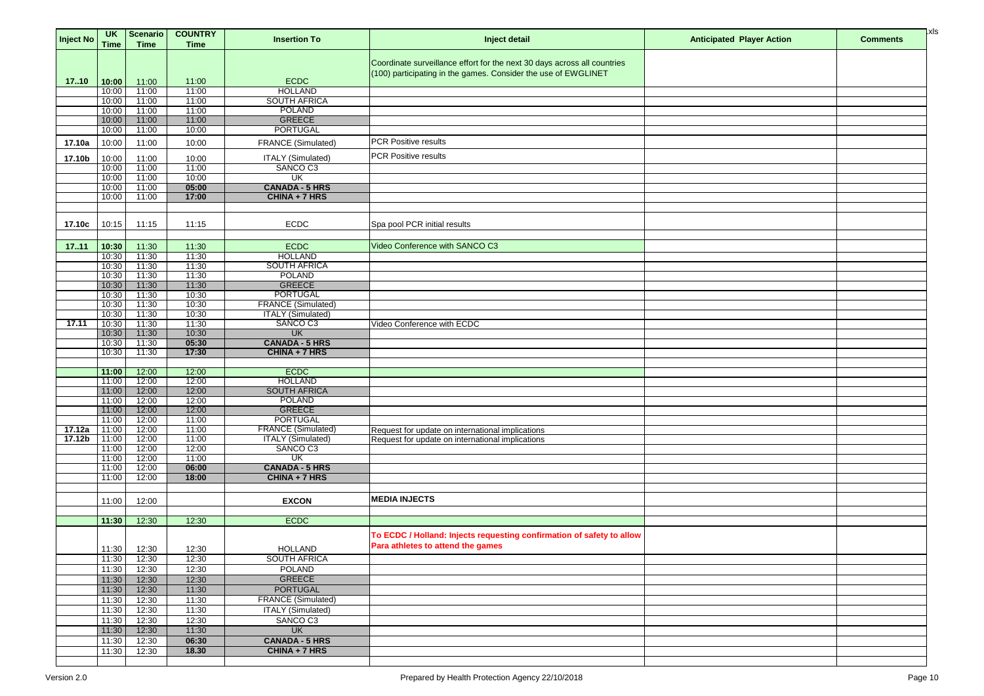| <b>Inject No</b>   | <b>UK</b><br><b>Time</b> | <b>Scenario</b><br><b>Time</b> | <b>COUNTRY</b><br><b>Time</b> | <b>Insertion To</b>                                   | Inject detail                                                            | <b>Anticipated Player Action</b> | <b>Comments</b> | ]xls |
|--------------------|--------------------------|--------------------------------|-------------------------------|-------------------------------------------------------|--------------------------------------------------------------------------|----------------------------------|-----------------|------|
|                    |                          |                                |                               |                                                       |                                                                          |                                  |                 |      |
|                    |                          |                                |                               |                                                       | Coordinate surveillance effort for the next 30 days across all countries |                                  |                 |      |
|                    |                          |                                |                               |                                                       | (100) participating in the games. Consider the use of EWGLINET           |                                  |                 |      |
| 17.10              | 10:00<br>10:00           | 11:00<br>11:00                 | 11:00<br>11:00                | <b>ECDC</b><br><b>HOLLAND</b>                         |                                                                          |                                  |                 |      |
|                    | 10:00                    | 11:00                          | 11:00                         | <b>SOUTH AFRICA</b>                                   |                                                                          |                                  |                 |      |
|                    | 10:00                    | 11:00                          | 11:00                         | <b>POLAND</b>                                         |                                                                          |                                  |                 |      |
|                    | 10:00                    | 11:00                          | 11:00                         | <b>GREECE</b>                                         |                                                                          |                                  |                 |      |
|                    | 10:00                    | 11:00                          | 10:00                         | <b>PORTUGAL</b>                                       |                                                                          |                                  |                 |      |
| 17.10a             | 10:00                    | 11:00                          | 10:00                         | <b>FRANCE (Simulated)</b>                             | PCR Positive results                                                     |                                  |                 |      |
| 17.10b             | 10:00                    | 11:00                          | 10:00                         | <b>ITALY (Simulated)</b>                              | PCR Positive results                                                     |                                  |                 |      |
|                    | 10:00                    | 11:00                          | 11:00                         | SANCO C3                                              |                                                                          |                                  |                 |      |
|                    | 10:00                    | 11:00                          | 10:00                         | UK                                                    |                                                                          |                                  |                 |      |
|                    | 10:00                    | 11:00                          | 05:00                         | <b>CANADA - 5 HRS</b>                                 |                                                                          |                                  |                 |      |
|                    | 10:00                    | 11:00                          | 17:00                         | CHINA + 7 HRS                                         |                                                                          |                                  |                 |      |
|                    |                          |                                |                               |                                                       |                                                                          |                                  |                 |      |
| 17.10c             | 10:15                    | 11:15                          | 11:15                         | <b>ECDC</b>                                           | Spa pool PCR initial results                                             |                                  |                 |      |
|                    |                          |                                |                               |                                                       |                                                                          |                                  |                 |      |
| 17.11              | 10:30                    | 11:30                          | 11:30                         | <b>ECDC</b>                                           | Video Conference with SANCO C3                                           |                                  |                 |      |
|                    | 10:30                    | 11:30                          | 11:30                         | <b>HOLLAND</b>                                        |                                                                          |                                  |                 |      |
|                    | 10:30                    | 11:30                          | 11:30                         | <b>SOUTH AFRICA</b>                                   |                                                                          |                                  |                 |      |
|                    | 10:30                    | 11:30                          | 11:30                         | <b>POLAND</b>                                         |                                                                          |                                  |                 |      |
|                    | 10:30<br>10:30           | 11:30<br>11:30                 | 11:30<br>10:30                | <b>GREECE</b><br><b>PORTUGAL</b>                      |                                                                          |                                  |                 |      |
|                    | 10:30                    | 11:30                          | 10:30                         | <b>FRANCE (Simulated)</b>                             |                                                                          |                                  |                 |      |
|                    | 10:30                    | 11:30                          | 10:30                         | <b>ITALY</b> (Simulated)                              |                                                                          |                                  |                 |      |
| 17.11              | 10:30                    | 11:30                          | 11:30                         | SANCO C3                                              | Video Conference with ECDC                                               |                                  |                 |      |
|                    | 10:30                    | 11:30                          | 10:30                         | <b>UK</b>                                             |                                                                          |                                  |                 |      |
|                    | 10:30                    | 11:30                          | 05:30                         | <b>CANADA - 5 HRS</b>                                 |                                                                          |                                  |                 |      |
|                    | 10:30                    | 11:30                          | 17:30                         | CHINA + 7 HRS                                         |                                                                          |                                  |                 |      |
|                    | 11:00                    | 12:00                          | 12:00                         | <b>ECDC</b>                                           |                                                                          |                                  |                 |      |
|                    | 11:00                    | 12:00                          | 12:00                         | <b>HOLLAND</b>                                        |                                                                          |                                  |                 |      |
|                    | 11:00                    | 12:00                          | 12:00                         | <b>SOUTH AFRICA</b>                                   |                                                                          |                                  |                 |      |
|                    | 11:00                    | 12:00                          | 12:00                         | <b>POLAND</b>                                         |                                                                          |                                  |                 |      |
|                    | 11:00                    | 12:00                          | 12:00                         | <b>GREECE</b>                                         |                                                                          |                                  |                 |      |
| 17.12a             | 11:00<br>11:00           | 12:00<br>12:00                 | 11:00<br>11:00                | <b>PORTUGAL</b><br><b>FRANCE (Simulated)</b>          | Request for update on international implications                         |                                  |                 |      |
| 17.12 <sub>b</sub> | 11:00                    | 12:00                          | 11:00                         | <b>ITALY</b> (Simulated)                              | Request for update on international implications                         |                                  |                 |      |
|                    | 11:00                    | 12:00                          | 12:00                         | SANCO C3                                              |                                                                          |                                  |                 |      |
|                    | 11:00                    | 12:00                          | 11:00                         | UK                                                    |                                                                          |                                  |                 |      |
|                    | 11:00                    | 12:00                          | 06:00                         | <b>CANADA - 5 HRS</b>                                 |                                                                          |                                  |                 |      |
|                    | 11:00                    | 12:00                          | 18:00                         | CHINA + 7 HRS                                         |                                                                          |                                  |                 |      |
|                    |                          |                                |                               |                                                       |                                                                          |                                  |                 |      |
|                    | 11:00                    | 12:00                          |                               | <b>EXCON</b>                                          | <b>MEDIA INJECTS</b>                                                     |                                  |                 |      |
|                    |                          | 12:30                          | 12:30                         | <b>ECDC</b>                                           |                                                                          |                                  |                 |      |
|                    | 11:30                    |                                |                               |                                                       |                                                                          |                                  |                 |      |
|                    |                          |                                |                               |                                                       | To ECDC / Holland: Injects requesting confirmation of safety to allow    |                                  |                 |      |
|                    | 11:30                    | 12:30                          | 12:30                         | <b>HOLLAND</b>                                        | Para athletes to attend the games                                        |                                  |                 |      |
|                    | 11:30                    | 12:30                          | 12:30                         | <b>SOUTH AFRICA</b>                                   |                                                                          |                                  |                 |      |
|                    | 11:30                    | 12:30                          | 12:30                         | <b>POLAND</b>                                         |                                                                          |                                  |                 |      |
|                    | 11:30                    | 12:30                          | 12:30                         | <b>GREECE</b>                                         |                                                                          |                                  |                 |      |
|                    | 11:30                    | 12:30                          | 11:30                         | <b>PORTUGAL</b>                                       |                                                                          |                                  |                 |      |
|                    | 11:30                    | 12:30<br>12:30                 | 11:30<br>11:30                | <b>FRANCE (Simulated)</b><br><b>ITALY (Simulated)</b> |                                                                          |                                  |                 |      |
|                    | 11:30<br>11:30           | 12:30                          | 12:30                         | SANCO C3                                              |                                                                          |                                  |                 |      |
|                    | 11:30                    | 12:30                          | 11:30                         | <b>UK</b>                                             |                                                                          |                                  |                 |      |
|                    | 11:30                    | 12:30                          | 06:30                         | <b>CANADA - 5 HRS</b>                                 |                                                                          |                                  |                 |      |
|                    | 11:30                    | 12:30                          | 18.30                         | CHINA + 7 HRS                                         |                                                                          |                                  |                 |      |
|                    |                          |                                |                               |                                                       |                                                                          |                                  |                 |      |

| <b>layer Action</b> | <b>Comments</b> | ļΧl |
|---------------------|-----------------|-----|
|                     |                 |     |
|                     |                 |     |
|                     |                 |     |
|                     |                 |     |
|                     |                 |     |
|                     |                 |     |
|                     |                 |     |
|                     |                 |     |
|                     |                 |     |
|                     |                 |     |
|                     |                 |     |
|                     |                 |     |
|                     |                 |     |
|                     |                 |     |
|                     |                 |     |
|                     |                 |     |
|                     |                 |     |
|                     |                 |     |
|                     |                 |     |
|                     |                 |     |
|                     |                 |     |
|                     |                 |     |
|                     |                 |     |
|                     |                 |     |
|                     |                 |     |
|                     |                 |     |
|                     |                 |     |
|                     |                 |     |
|                     |                 |     |
|                     |                 |     |
|                     |                 |     |
|                     |                 |     |
|                     |                 |     |
|                     |                 |     |
|                     |                 |     |
|                     |                 |     |
|                     |                 |     |
|                     |                 |     |